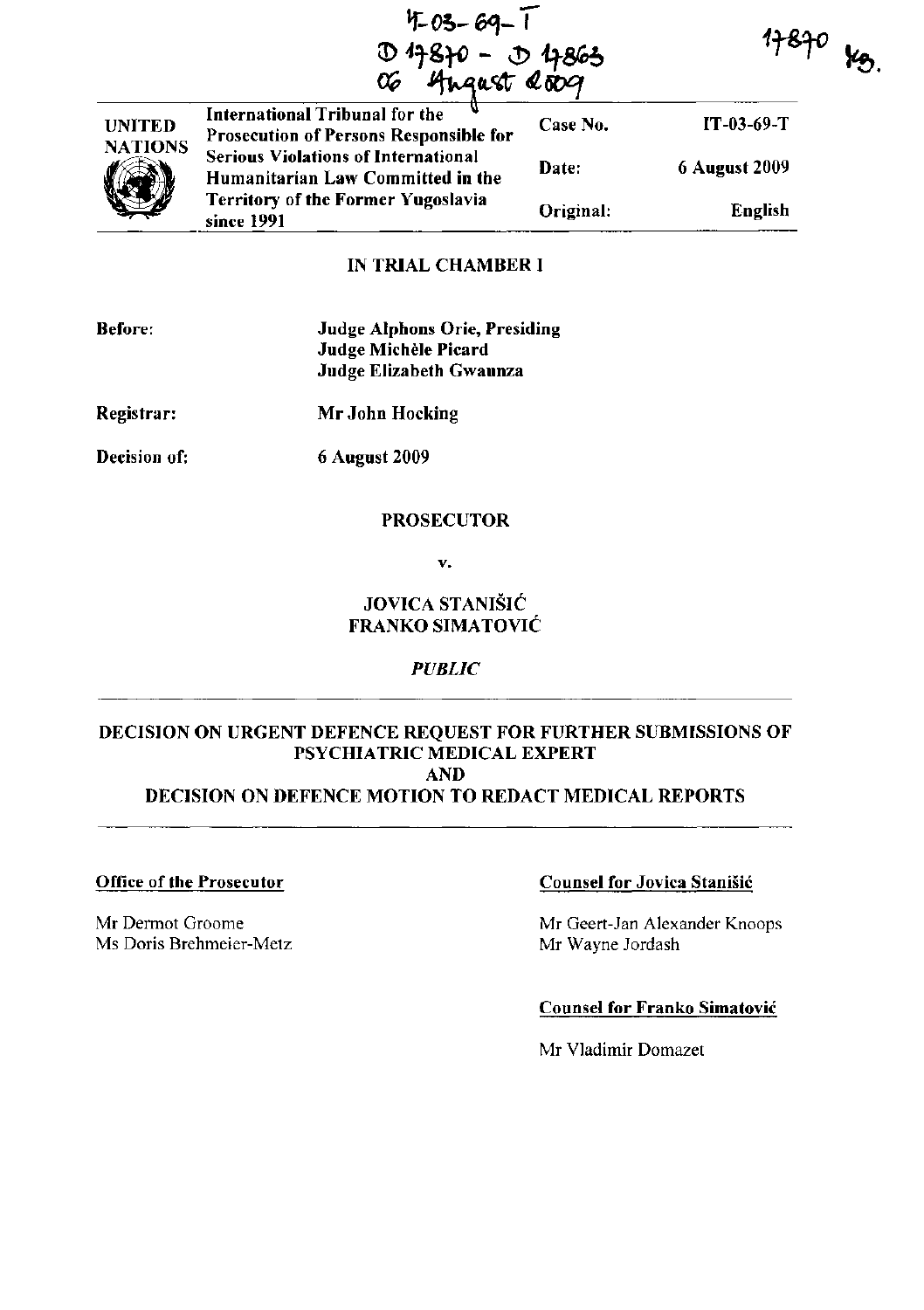**If-***0;-* **6Gt-***T*  **0 4870 - 0 4863<br>06 Angust Quoq** 

 $17870$  yo.



International Tribunal for the V<br>Prosecution of Persons Responsible for Case No. IT-03-69-T **Serious Violations of International** 6 August 2009 Date: Humanitarian Law Committed in the **Territory of the Former Yugoslavia** Original: English since 1991

## IN TRIAL CHAMBER I

| <b>Before:</b> | <b>Judge Alphons Orie, Presiding</b><br>Judge Michèle Picard<br>Judge Elizabeth Gwaunza |
|----------------|-----------------------------------------------------------------------------------------|
| Registrar:     | Mr John Hocking                                                                         |
| Decision of:   | <b>6 August 2009</b>                                                                    |

### PROSECUTOR

v.

# JOVICA STANIŠIĆ FRANKO SIMATOVIC

*PUBLIC* 

# DECISION ON URGENT DEFENCE REQUEST FOR FURTHER SUBMISSIONS OF PSYCHIATRIC MEDICAL EXPERT AND DECISION ON DEFENCE MOTION TO REDACT MEDICAL REPORTS

#### Office of the Prosecutor

Mr Dermot Groome Ms Doris Brehmeier-Metz

## Counsel for Jovica Stanisic

Mr Geert-Jan Alexander Knoops Mr Wayne Jordash

# Counsel for Franko Simatovic

Mr Vladimir Domazet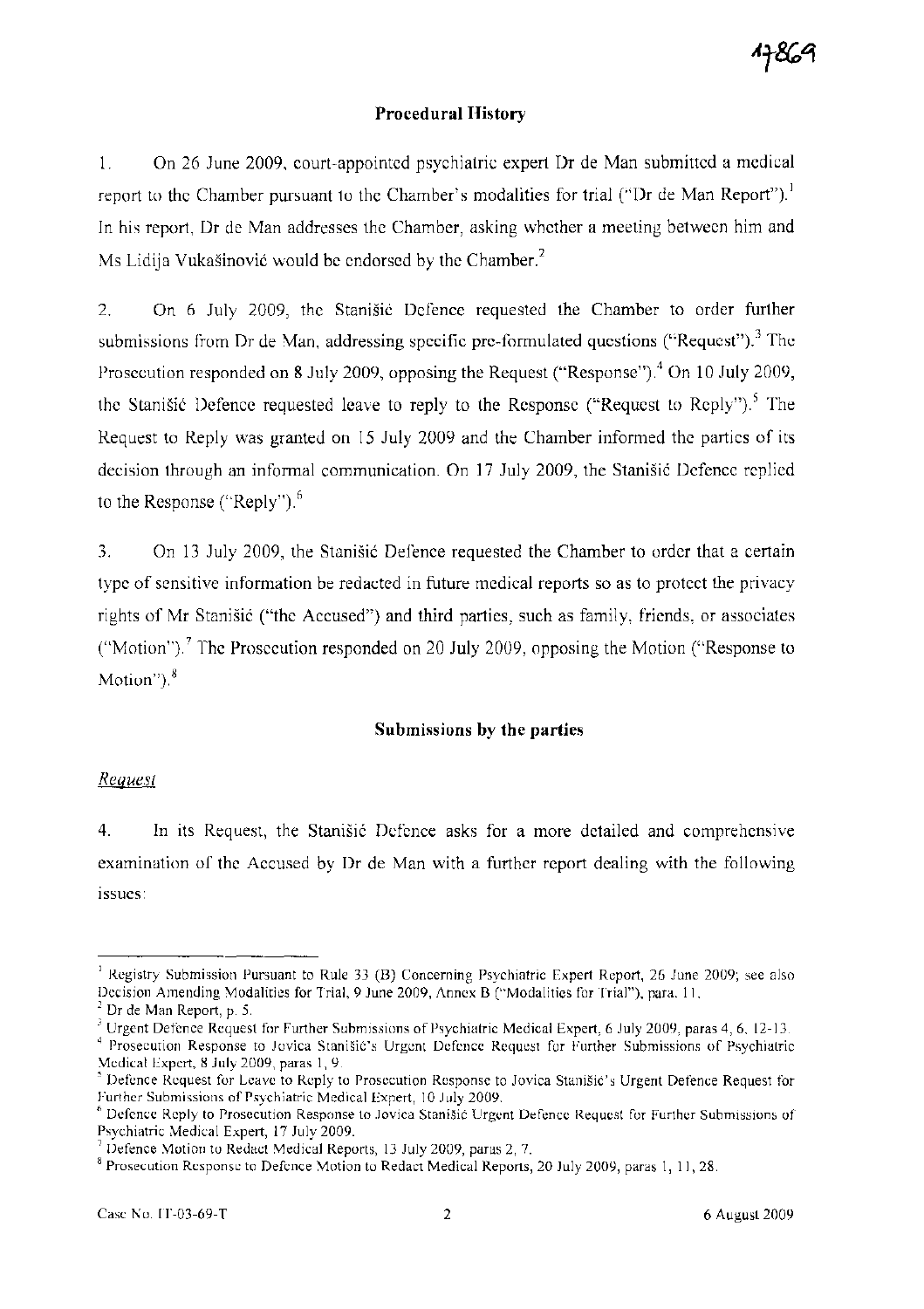## Procedural History

1. On 26 June 2009, court-appointed psychiatric expert Dr de Man submitted a medical report to the Chamber pursuant to the Chamber's modalities for trial ("Dr de Man Report").<sup>1</sup> In his report, Dr de Man addresses the Chamber, asking whether a meeting between him and Ms Lidija Vukašinović would be endorsed by the Chamber.<sup>2</sup>

2. On 6 July 2009, the Stanišić Defence requested the Chamber to order further submissions from Dr de Man, addressing specific pre-formulated questions ("Request").<sup>3</sup> The Prosecution responded on 8 July 2009, opposing the Request ("Response").<sup>4</sup> On 10 July 2009, the Stanišić Defence requested leave to reply to the Response ("Request to Reply").<sup>5</sup> The Request to Reply was granted on 15 July 2009 and the Chamber informed the parties of its decision through an informal communication. On 17 July 2009, the Stanišić Defence replied to the Response ("Reply"). $<sup>6</sup>$ </sup>

3. On 13 July 2009, the Stanisić Defence requested the Chamber to order that a certain type of sensitive information be redacted in future medical reports so as to protect the privacy rights of Mr Stanišić ("the Accused") and third parties, such as family, friends, or associates ("Motion").<sup>7</sup> The Prosecution responded on 20 July 2009, opposing the Motion ("Response to Motion"), $8$ 

## Submissions by the parties

#### *Request*

4. In its Request, the Stanisic Defence asks for a more detailed and comprehensive examination of the Accused by Dr de Man with a further report dealing with the following issues:

<sup>I</sup>Registry Submission Pursuant to Rule 33 (B) Concerning Psychiatric Expert Report, 26 June 2009; see also Decision Amending Modalities for Trial, 9 June 2009, Annex B ("Modalities for Trial"), para. II.

 $<sup>2</sup>$  Dr de Man Report, p. 5.</sup>

<sup>&</sup>lt;sup>3</sup> Urgent Defence Request for Further Submissions of Psychiatric Medical Expert, 6 July 2009, paras 4, 6, 12-13.

<sup>&</sup>lt;sup>4</sup> Prosecution Response to Jovica Stanišić's Urgent Defence Request for Further Submissions of Psychiatric Medical Expert, 8 July 2009, paras 1,9.

Defence Request for Leave to Reply to Prosecution Response to Jovica Stanišić's Urgent Defence Request for Further Submissions of Psychiatric Medical Expert, 10 July 2009.

<sup>6</sup>Defence Reply to Prosecution Response to Jovica Stani§ic Urgent Defence Request for Further Submissions of Psychiatric Medical Expert, 17 July 2009.

<sup>7</sup> Defence Motion to Redact Medical Reports, 13 July 2009, paras 2, 7.

<sup>&</sup>lt;sup>8</sup> Prosecution Response to Defence Motion to Redact Medical Reports, 20 July 2009, paras 1, 11, 28.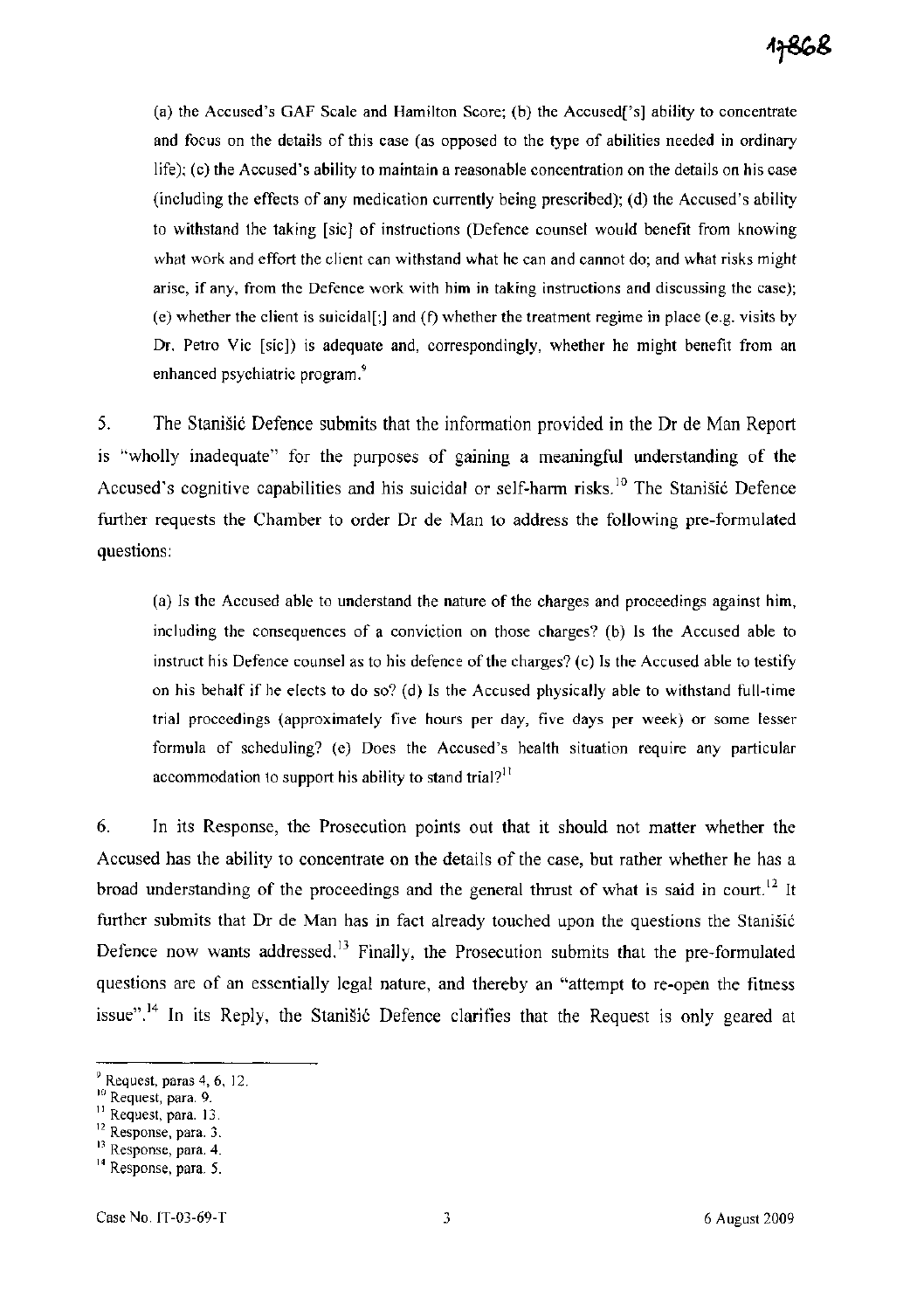(a) the Accused's GAF Scale and Hamilton Score; (b) the Accused['s] ability to concentrate and focus on the details of this case (as opposed to the type of abilities needed in ordinary life); (c) the Accused's ability to maintain a reasonable concentration on the details on his case (including the effects of any medication currently being prescribed); (d) the Accused's ability to withstand the taking [sic] of instructions (Defence counsel would benefit from knowing what work and effort the client can withstand what he can and cannot do; and what risks might arise, if any, from the Defence work with him in taking instructions and discussing the case); (e) whether the client is suicidal[;] and (f) whether the treatment regime in place (e.g. visits by Dr. Petro Vic [sic]) is adequate and, correspondingly, whether he might benefit from an enhanced psychiatric program.<sup>9</sup>

5. The Stanisic Defence submits that the information provided in the Dr de Man Report is "wholly inadequate" for the purposes of gaining a meaningful understanding of the Accused's cognitive capabilities and his suicidal or self-harm risks.<sup>10</sup> The Stanisić Defence further requests the Chamber to order Dr de Man to address the following pre-formulated questions:

(a) Is the Accused able to understand the nature of the charges and proceedings against him, including the consequences of a conviction on those charges? (b) Is the Accused able to instruct his Defence counsel as to his defence of the charges? (c) Is the Accused able to testify on his behalf if he elects to do so? (d) Is the Accused physically able to withstand full-time trial proceedings (approximately five hours per day, five days per week) or some lesser formula of scheduling? (e) Does the Accused's health situation require any particular accommodation to support his ability to stand trial?<sup>11</sup>

6. In its Response, the Prosecution points out that it should not matter whether the Accused has the ability to concentrate on the details of the case, but rather whether he has a broad understanding of the proceedings and the general thrust of what is said in court.<sup>12</sup> It further submits that Dr de Man has in fact already touched upon the questions the Stanisic Defence now wants addressed.<sup>13</sup> Finally, the Prosecution submits that the pre-formulated questions are of an essentially legal nature, and thereby an "attempt to re-open the fitness issue".<sup>14</sup> In its Reply, the Stanišić Defence clarifies that the Request is only geared at

 $9$  Request, paras 4, 6, 12.

JO Request, para. 9.

<sup>&</sup>lt;sup>11</sup> Request, para. 13.

<sup>&</sup>lt;sup>12</sup> Response, para. 3.

<sup>&</sup>lt;sup>13</sup> Response, para. 4.

<sup>&</sup>lt;sup>14</sup> Response, para. 5.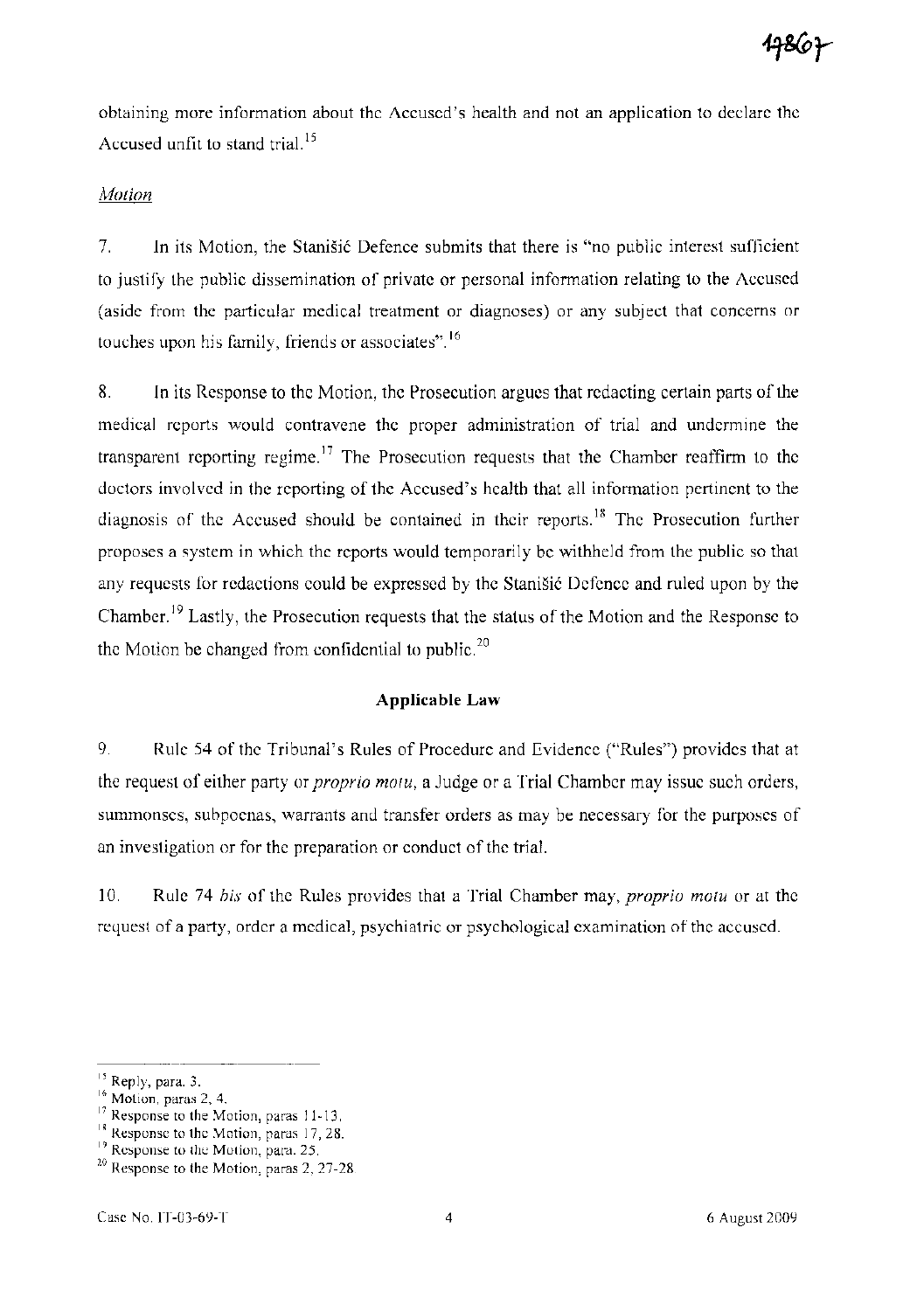obtaining more information about the Accused's health and not an application to declare the Accused unfit to stand trial.<sup>15</sup>

## *Motion*

7. In its Motion, the Stanistic Defence submits that there is "no public interest sufficient to justify the public dissemination of private or personal information relating to the Accused (aside from the particular medical treatment or diagnoses) or any subject that concerns or touches upon his family, friends or associates". <sup>16</sup>

8. In its Response to the Motion, the Prosecution argues that redacting certain parts of the medical reports would contravene the proper administration of trial and undermine the transparent reporting regime.<sup>17</sup> The Prosecution requests that the Chamber reaffirm to the doctors involved in the reporting of the Accused's health that all information pertinent to the diagnosis of the Accused should be contained in their reports.<sup>18</sup> The Prosecution further proposes a system in which the reports would temporarily be withheld from the public so that any requests for redactions could be expressed by the Stanišić Defence and ruled upon by the Chamber. 19 Lastly, the Prosecution requests that the status of the Motion and the Response to the Motion be changed from confidential to public.<sup>20</sup>

### **Applicable Law**

9. Rule 54 of the Tribunal's Rules of Procedure and Evidence ("Rules") provides that at the request of either party or *proprio motu,* a Judge or a Trial Chamber may issue such orders, summonses, subpoenas, warrants and transfer orders as may be necessary for the purposes of an investigation or for the preparation or conduct of the trial.

10. Rule 74 *bis* of the Rules provides that a Trial Chamber may, *proprio motu* or at the request of a party, order a medical, psychiatric or psychological examination of the accused.

<sup>&</sup>lt;sup>15</sup> Reply, para. 3.

<sup>&</sup>lt;sup>16</sup> Motion, paras 2, 4.

<sup>&</sup>lt;sup>17</sup> Response to the Motion, paras 11-13.

<sup>&</sup>lt;sup>18</sup> Response to the Motion, paras 17, 28.

<sup>&</sup>lt;sup>19</sup> Response to the Motion, para. 25.

<sup>&</sup>lt;sup>20</sup> Response to the Motion, paras 2, 27-28.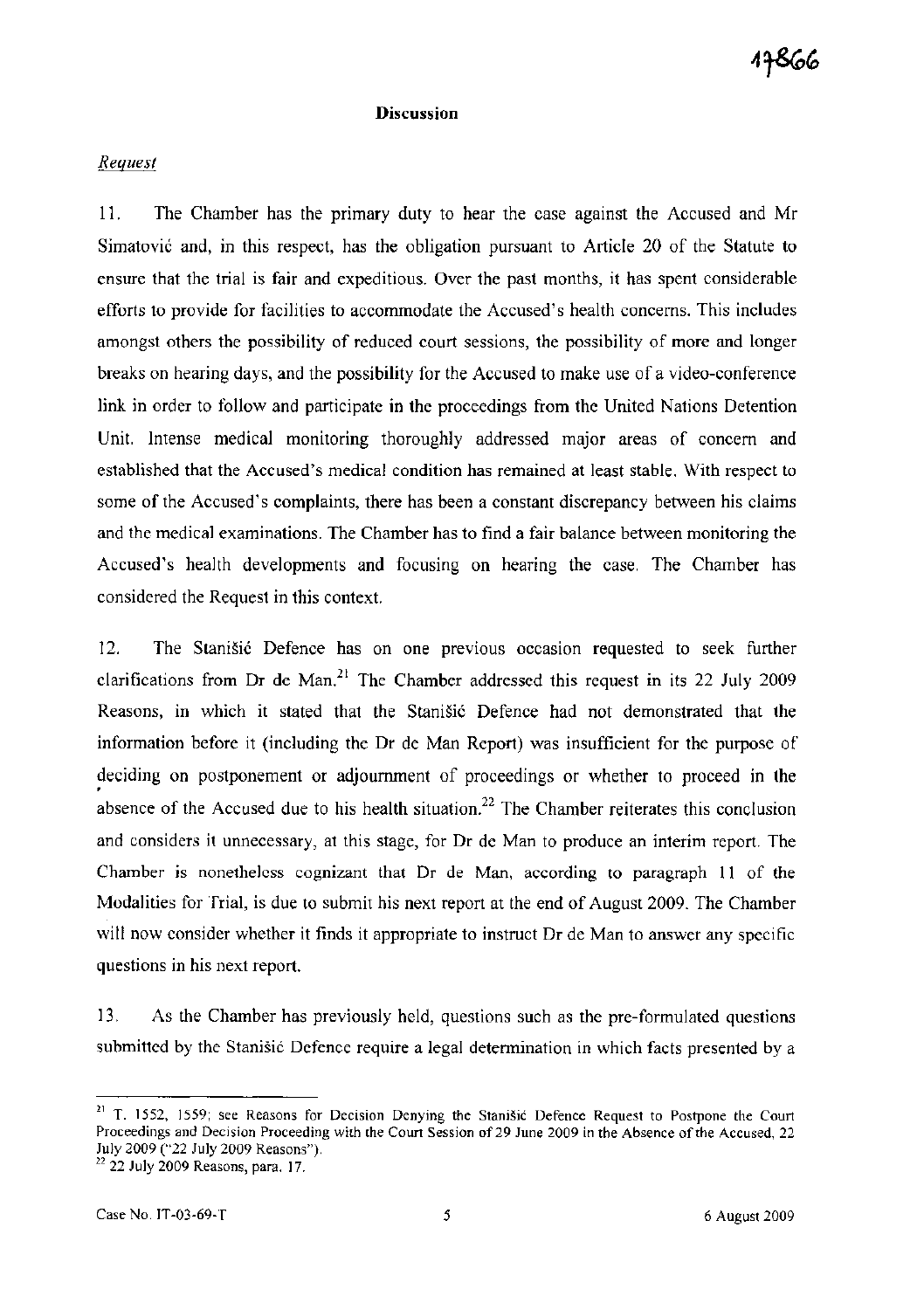### **Discussion**

# *Request*

11. The Chamber has the primary duty to hear the case against the Accused and Mr Simatovic and, in this respect, has the obligation pursuant to Article 20 of the Statute to ensure that the trial is fair and expeditious. Over the past months, it has spent considerable efforts to provide for facilities to accommodate the Accused's health concerns. This includes amongst others the possibility of reduced court sessions, the possibility of more and longer breaks on hearing days, and the possibility for the Accused to make use of a video-conference link in order to follow and participate in the proceedings from the United Nations Detention Unit. Intense medical monitoring thoroughly addressed major areas of concern and established that the Accused's medical condition has remained at least stable. With respect to some of the Accused's complaints, there has been a constant discrepancy between his claims and the medical examinations. The Chamber has to find a fair balance between monitoring the Accused's health developments and focusing on hearing the case. The Chamber has considered the Request in this context.

12. The Stanišić Defence has on one previous occasion requested to seek further clarifications from Dr de Man.<sup>21</sup> The Chamber addressed this request in its 22 July 2009 Reasons, in which it stated that the StaniSic Defence had not demonstrated that the information before it (including the Dr de Man Report) was insufficient for the purpose of deciding on postponement or adjournment of proceedings or whether to proceed in the absence of the Accused due to his health situation.<sup>22</sup> The Chamber reiterates this conclusion and considers it unnecessary, at this stage, for Dr de Man to produce an interim report. The Chamber is nonetheless cognizant that Dr de Man, according to paragraph 11 of the Modalities for Trial, is due to submit his next report at the end of August 2009. The Chamber will now consider whether it finds it appropriate to instruct Dr de Man to answer any specific questions in his next report.

13. As the Chamber has previously held, questions such as the pre-formulated questions submitted by the Stanisić Defence require a legal determination in which facts presented by a

<sup>&</sup>lt;sup>21</sup> T. 1552, 1559; see Reasons for Decision Denying the Stanišić Defence Request to Postpone the Court Proceedings and Decision Proceeding with the Court Session of29 June 2009 in the Absence of the Accused, 22 July 2009 ("22 July 2009 Reasons").

<sup>&</sup>lt;sup>22</sup> 22 July 2009 Reasons, para. 17.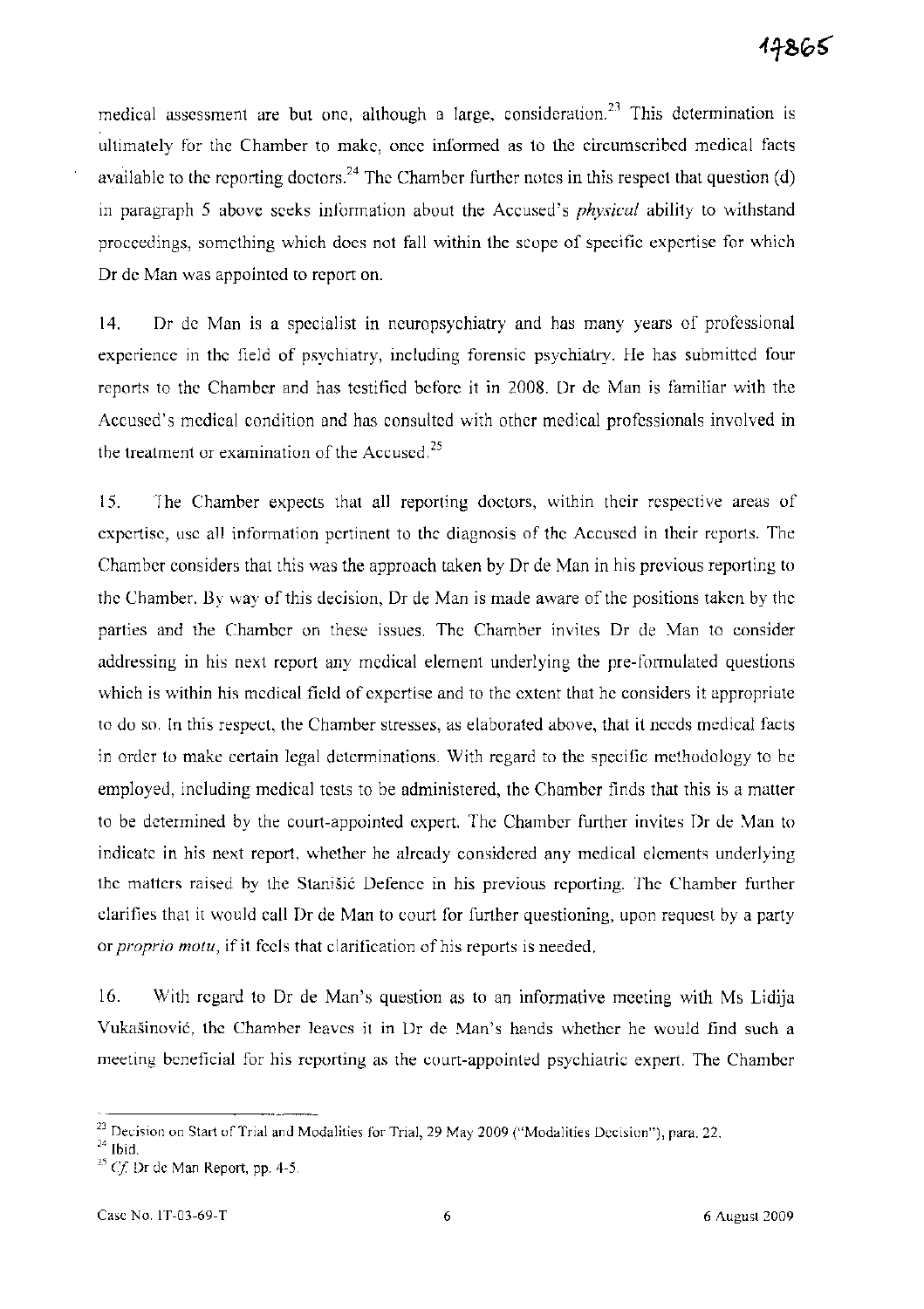medical assessment are but one, although a large, consideration.<sup>23</sup> This determination is ultimately for the Chamber to make, once informed as to the circumscribed medical facts available to the reporting doctors.<sup>24</sup> The Chamber further notes in this respect that question (d) in paragraph 5 above seeks information about the Accused's *physical* ability to withstand proceedings, something which does not fall within the scope of specific expertise for which Dr de Man was appointed to report on.

14. Dr de Man is a specialist in neuropsychiatry and has many years of professional experience in the field of psychiatry, including forensic psychiatry. He has submitted four reports to the Chamber and has testified before it in 2008. Dr de Man is familiar with the Accused's medical condition and has consulted with other medical professionals involved in the treatment or examination of the Accused. $25$ 

15. The Chamber expects that all reporting doctors, within their respective areas of expertise, use all information pertinent to the diagnosis of the Accused in their reports. The Chamber considers that this was the approach taken by Dr de Man in his previous reporting to the Chamber. By way of this decision, Dr de Man is made aware of the positions taken by the parties and the Chamber on these issues. The Chamber invites Dr de Man to consider addressing in his next report any medical element underlying the pre-formulated questions which is within his medical field of expertise and to the extent that he considers it appropriate to do so. In this respect, the Chamber stresses, as elaborated above, that it needs medical facts in order to make certain legal determinations. With regard to the specific methodology to be employed, including medical tests to be administered, the Chamber finds that this is a matter to be determined by the court-appointed expert. The Chamber further invites Dr de Man to indicate in his next report, whether he already considered any medical elements underlying the matters raised by the Stanišić Defence in his previous reporting. The Chamber further clarifies that it would call Dr de Man to court for further questioning, upon request by a party or *proprio motu,* if it feels that clarification of his reports is needed.

16. With regard to Dr de Man's question as to an informative meeting with Ms Lidija Vukasinovi6, the Chamber leaves it in Dr de Man's hands whether he would find such a meeting beneficial for his reporting as the court-appointed psychiatric expert. The Chamber

<sup>&</sup>lt;sup>23</sup> Decision on Start of Trial and Modalities for Trial, 29 May 2009 ("Modalities Decision"), para. 22.

 $24$  Ibid.

*<sup>25</sup> Cf* Dr de Man Report, pp. 4-5.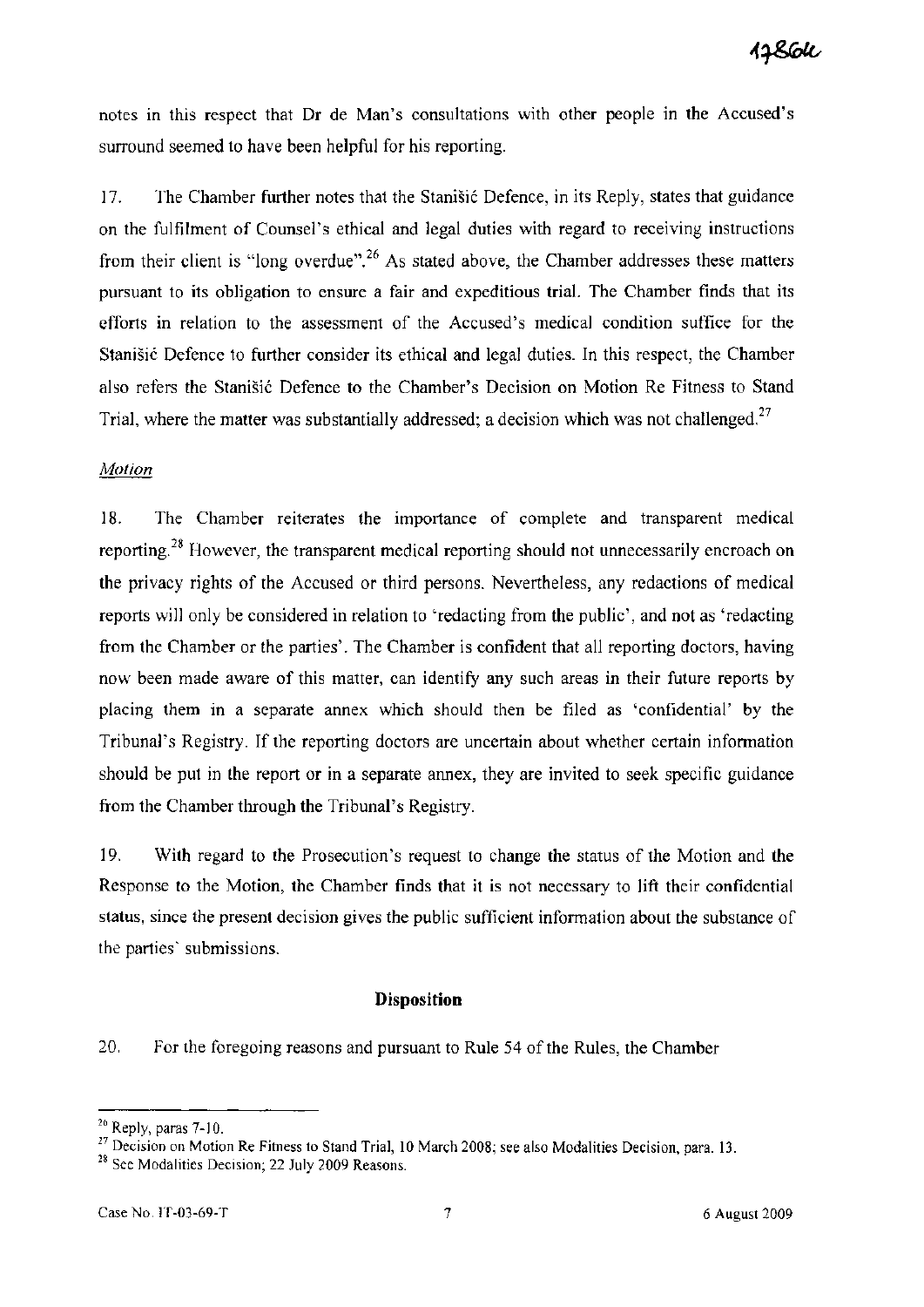notes in this respect that Dr de Man's consultations with other people in the Accused's surround seemed to have been helpful for his reporting.

17. The Chamber further notes that the Stanišić Defence, in its Reply, states that guidance on the fulfilment of Counsel's ethical and legal duties with regard to receiving instructions from their client is "long overdue".<sup>26</sup> As stated above, the Chamber addresses these matters pursuant to its obligation to ensure a fair and expeditious trial. The Chamber finds that its efforts in relation to the assessment of the Accused's medical condition suffice for the Stanišić Defence to further consider its ethical and legal duties. In this respect, the Chamber also refers the Stanišić Defence to the Chamber's Decision on Motion Re Fitness to Stand Trial, where the matter was substantially addressed; a decision which was not challenged.<sup>27</sup>

## *Motion*

18. The Chamber reiterates the importance of complete and transparent medical reporting.<sup>28</sup> However, the transparent medical reporting should not unnecessarily encroach on the privacy rights of the Accused or third persons. Nevertheless, any redactions of medical reports will only be considered in relation to 'redacting from the public', and not as 'redacting from the Chamber or the parties'. The Chamber is confident that all reporting doctors, having now been made aware of this matter, can identify any such areas in their future reports by placing them in a separate annex which should then be filed as 'confidential' by the Tribunal's Registry. If the reporting doctors are uncertain about whether certain information should be put in the report or in a separate annex, they are invited to seek specific guidance from the Chamber through the Tribunal's Registry.

19. With regard to the Prosecution's request to change the status of the Motion and the Response to the Motion, the Chamber finds that it is not necessary to lift their confidential status, since the present decision gives the public sufficient information about the substance of the parties' submissions.

#### **Disposition**

20. For the foregoing reasons and pursuant to Rule 54 of the Rules, the Chamber

<sup>26</sup> Reply, paras 7-10.

<sup>&</sup>lt;sup>27</sup> Decision on Motion Re Fitness to Stand Trial, 10 March 2008; see also Modalities Decision, para. 13.

<sup>&</sup>lt;sup>28</sup> See Modalities Decision; 22 July 2009 Reasons.